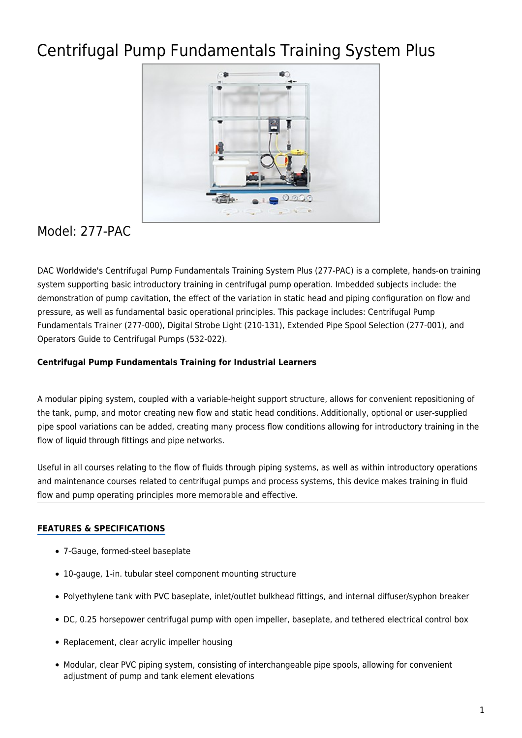# Centrifugal Pump Fundamentals Training System Plus



# Model: 277-PAC

DAC Worldwide's Centrifugal Pump Fundamentals Training System Plus (277-PAC) is a complete, hands-on training system supporting basic introductory training in centrifugal pump operation. Imbedded subjects include: the demonstration of pump cavitation, the effect of the variation in static head and piping configuration on flow and pressure, as well as fundamental basic operational principles. This package includes: Centrifugal Pump Fundamentals Trainer (277-000), Digital Strobe Light (210-131), Extended Pipe Spool Selection (277-001), and Operators Guide to Centrifugal Pumps (532-022).

### **Centrifugal Pump Fundamentals Training for Industrial Learners**

A modular piping system, coupled with a variable-height support structure, allows for convenient repositioning of the tank, pump, and motor creating new flow and static head conditions. Additionally, optional or user-supplied pipe spool variations can be added, creating many process flow conditions allowing for introductory training in the flow of liquid through fittings and pipe networks.

Useful in all courses relating to the flow of fluids through piping systems, as well as within introductory operations and maintenance courses related to centrifugal pumps and process systems, this device makes training in fluid flow and pump operating principles more memorable and effective.

## **FEATURES & SPECIFICATIONS**

- 7-Gauge, formed-steel baseplate
- 10-gauge, 1-in. tubular steel component mounting structure
- Polyethylene tank with PVC baseplate, inlet/outlet bulkhead fittings, and internal diffuser/syphon breaker
- DC, 0.25 horsepower centrifugal pump with open impeller, baseplate, and tethered electrical control box
- Replacement, clear acrylic impeller housing
- Modular, clear PVC piping system, consisting of interchangeable pipe spools, allowing for convenient adjustment of pump and tank element elevations